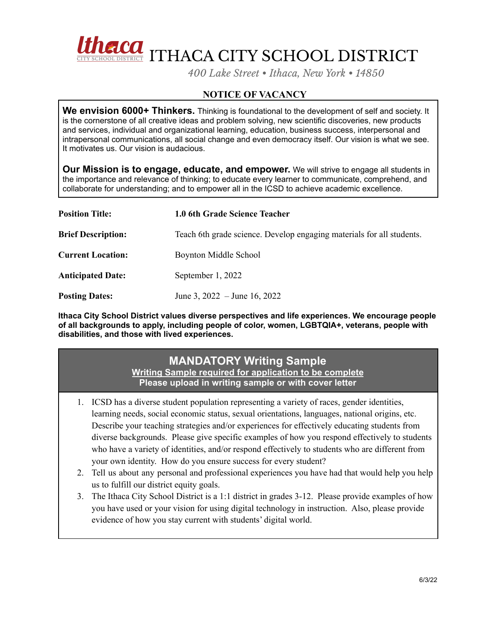

*400 Lake Street • Ithaca, New York • 14850*

## **NOTICE OF VACANCY**

**We envision 6000+ Thinkers.** Thinking is foundational to the development of self and society. It is the cornerstone of all creative ideas and problem solving, new scientific discoveries, new products and services, individual and organizational learning, education, business success, interpersonal and intrapersonal communications, all social change and even democracy itself. Our vision is what we see. It motivates us. Our vision is audacious.

**Our Mission is to engage, educate, and empower.** We will strive to engage all students in the importance and relevance of thinking; to educate every learner to communicate, comprehend, and collaborate for understanding; and to empower all in the ICSD to achieve academic excellence.

| <b>Position Title:</b>    | 1.0 6th Grade Science Teacher                                         |
|---------------------------|-----------------------------------------------------------------------|
| <b>Brief Description:</b> | Teach 6th grade science. Develop engaging materials for all students. |
| <b>Current Location:</b>  | Boynton Middle School                                                 |
| <b>Anticipated Date:</b>  | September 1, 2022                                                     |
| <b>Posting Dates:</b>     | June 3, $2022 -$ June 16, $2022$                                      |

**Ithaca City School District values diverse perspectives and life experiences. We encourage people of all backgrounds to apply, including people of color, women, LGBTQIA+, veterans, people with disabilities, and those with lived experiences.**

## **MANDATORY Writing Sample**

**Writing Sample required for application to be complete Please upload in writing sample or with cover letter**

- 1. ICSD has a diverse student population representing a variety of races, gender identities, learning needs, social economic status, sexual orientations, languages, national origins, etc. Describe your teaching strategies and/or experiences for effectively educating students from diverse backgrounds. Please give specific examples of how you respond effectively to students who have a variety of identities, and/or respond effectively to students who are different from your own identity. How do you ensure success for every student?
- 2. Tell us about any personal and professional experiences you have had that would help you help us to fulfill our district equity goals.
- 3. The Ithaca City School District is a 1:1 district in grades 3-12. Please provide examples of how you have used or your vision for using digital technology in instruction. Also, please provide evidence of how you stay current with students' digital world.